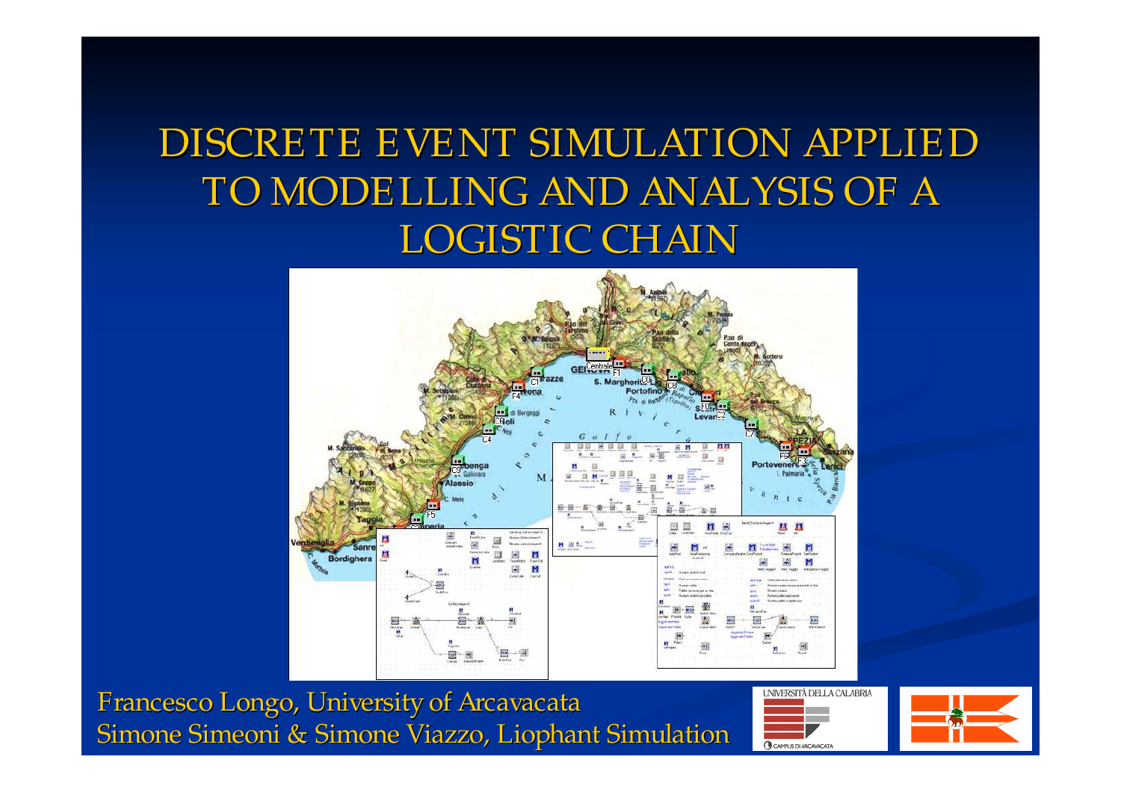#### DISCRETE EVENT SIMULATION APPLIED TO MODELLING AND ANALYSIS OF A LOGISTIC CHAIN



Francesco Longo, University of Arcavacata Simone Simeoni & Simone Viazzo, Liophant Simulation



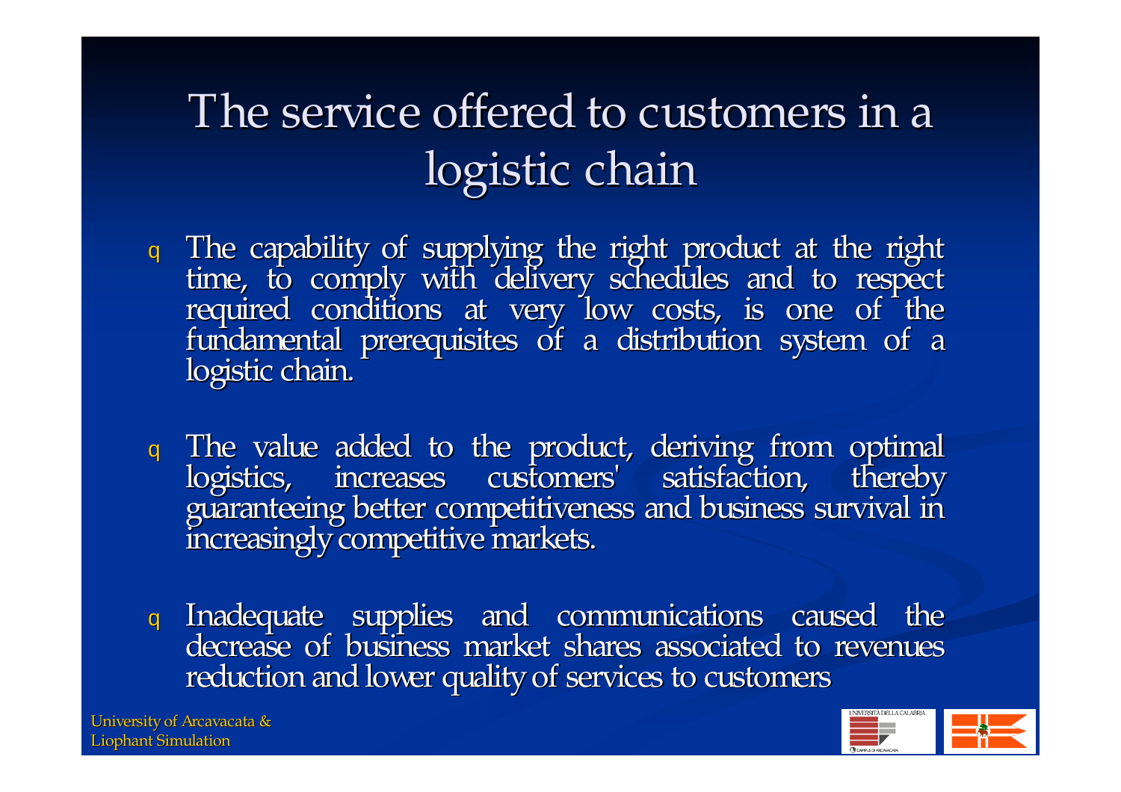### The service offered to customers in <sup>a</sup> logistic chain

- <sup>q</sup> The capability of supplying the right product at the right time, to comply with delivery schedules and to respect required conditions at very low costs, is one of the<br>fundamental prerequisites of a distribution system of a<br>logistic chain.
- <sup>q</sup> The value added to the product, deriving from optimal logistics, increases customers' satisfaction, thereby guaranteeing better competitiveness and business survival in increasingly competitive markets.
- <sup>q</sup> Inadequate supplies and communications caused the decrease of business market shares associated to revenues reduction and lower quality of services to customers

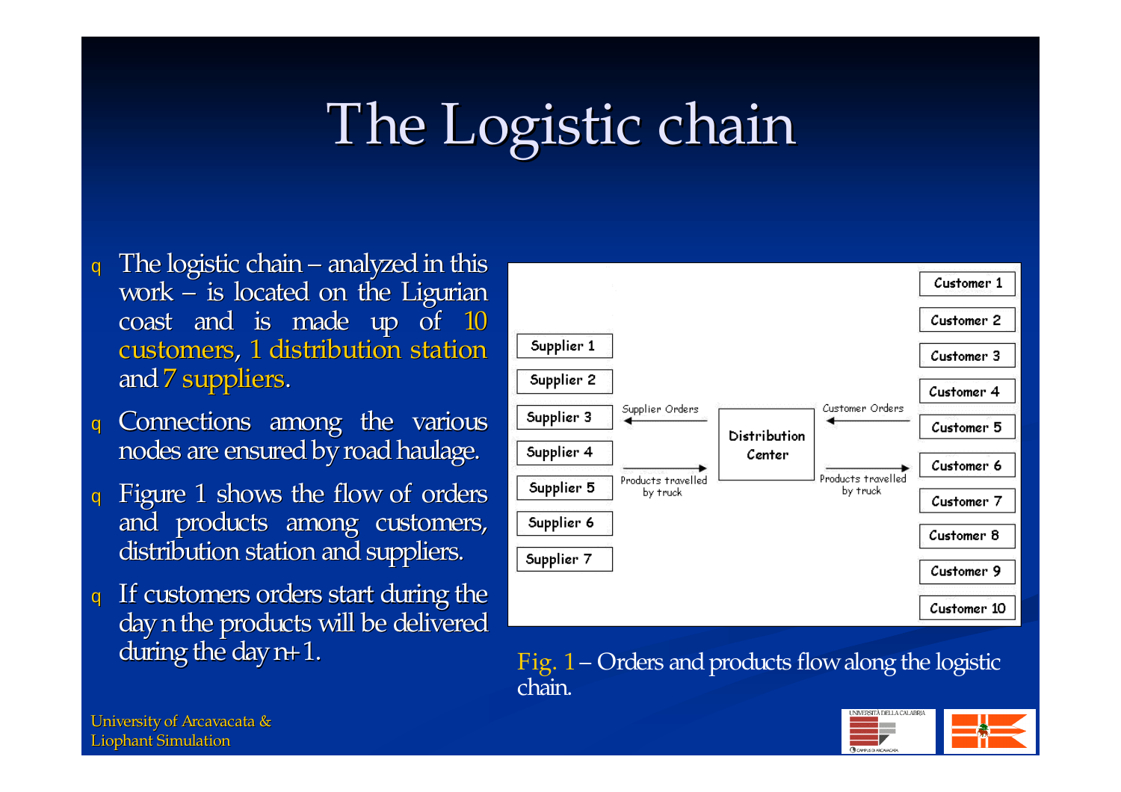# The Logistic chain

- $q$  The logistic chain analyzed in this work – is located on the Ligurian coast and is made up of 10 customers, 1 distribution station and7 suppliers.
- <sup>q</sup> Connections among the various nodes are ensured by road haulage.
- <sup>q</sup> Figure <sup>1</sup> shows the flow of orders and products among customers, distribution station and suppliers.
- <sup>q</sup> If customers orders start during the day n the products will be delivered<br>during the day  $n+1$ .



Fig.  $1$  – Orders and products flow along the logistic chain.

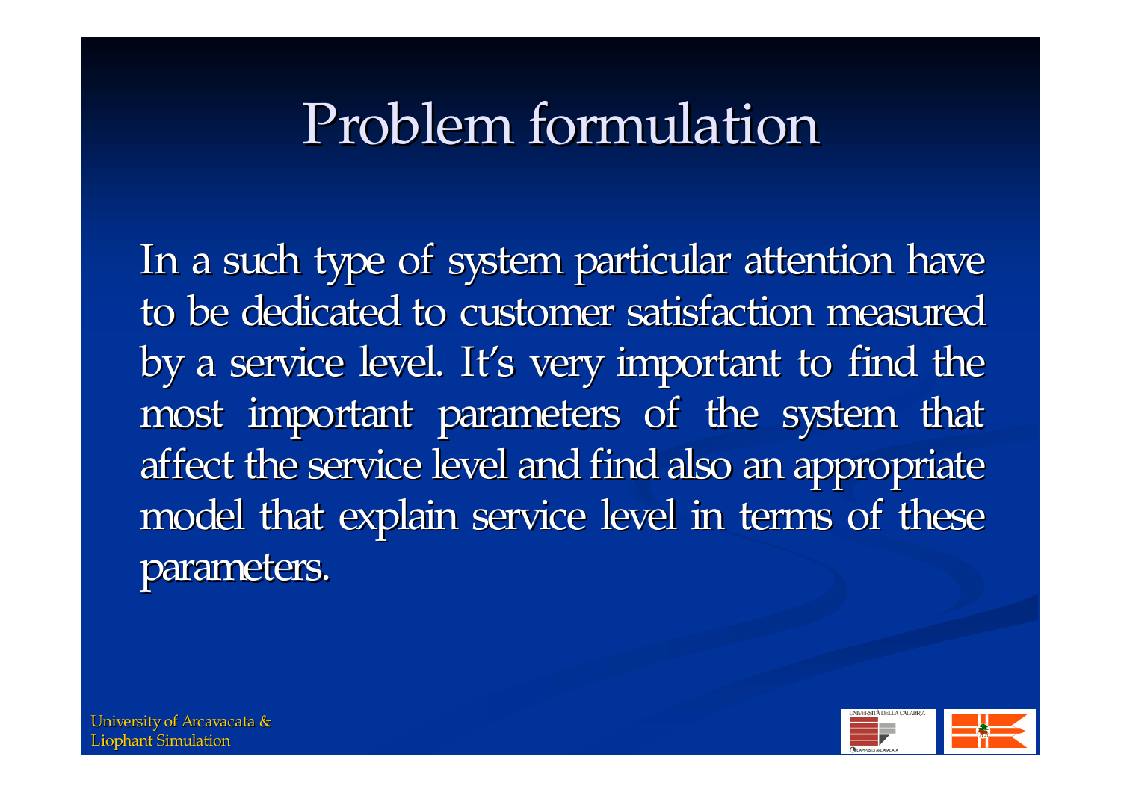## Problem formulation

In <sup>a</sup> such type of system particular attention have to be dedicated to customer satisfaction measured by <sup>a</sup> service level. It's very important to find the most important parameters of the system that affect the service level and find also an appropriate model that explain service level in terms of these parameters.

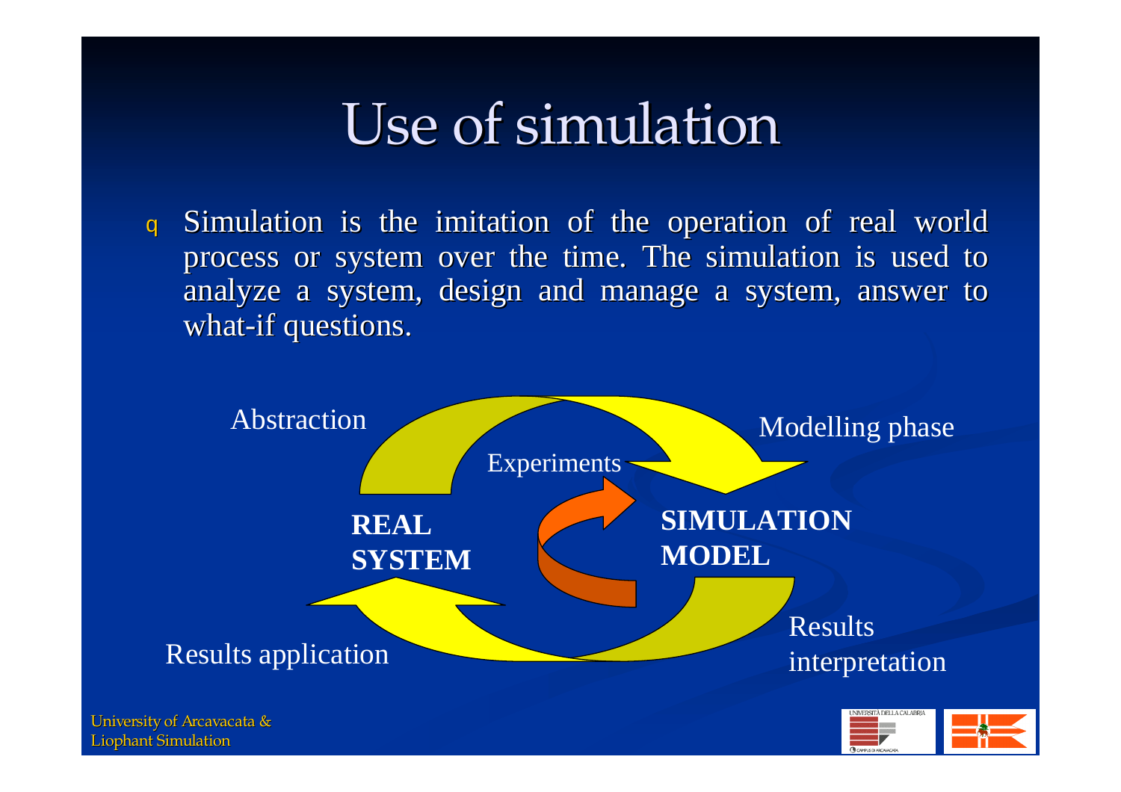## Use of simulation

<sup>q</sup> Simulation is the imitation of the operation of real world process or system over the time. The simulation is used to analyze <sup>a</sup> system, design and manage <sup>a</sup> system, answer to what-if questions.

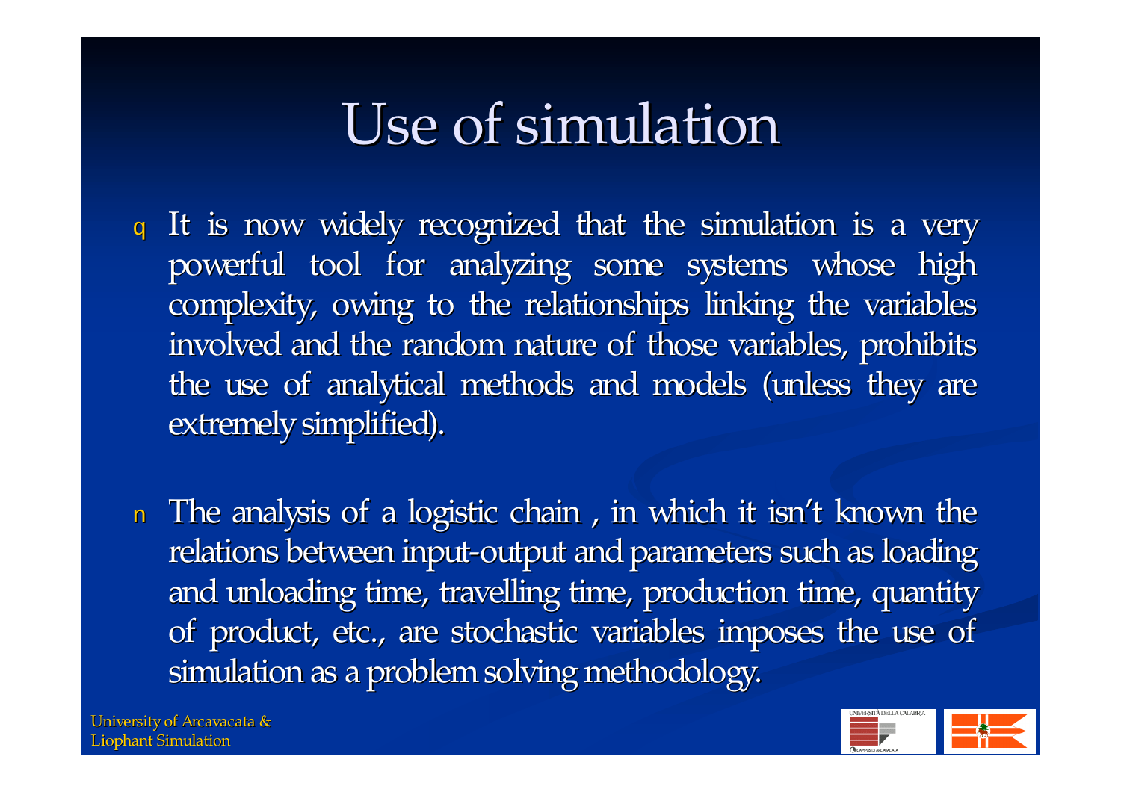## Use of simulation

- <sup>q</sup> It is now widely recognized that the simulation is <sup>a</sup> very powerful tool for analyzing some systems whose high complexity, owing to the relationships linking the variables involved and the random nature of those variables, prohibits the use of analytical methods and models (unless they are extremely simplified).
- n The analysis of <sup>a</sup> logistic chain , in which it isn't known the relations between input-output and parameters such as loading and unloading time, travelling time, production time, quantity of product, etc., are stochastic variables imposes the use of simulation as a problem solving methodology.

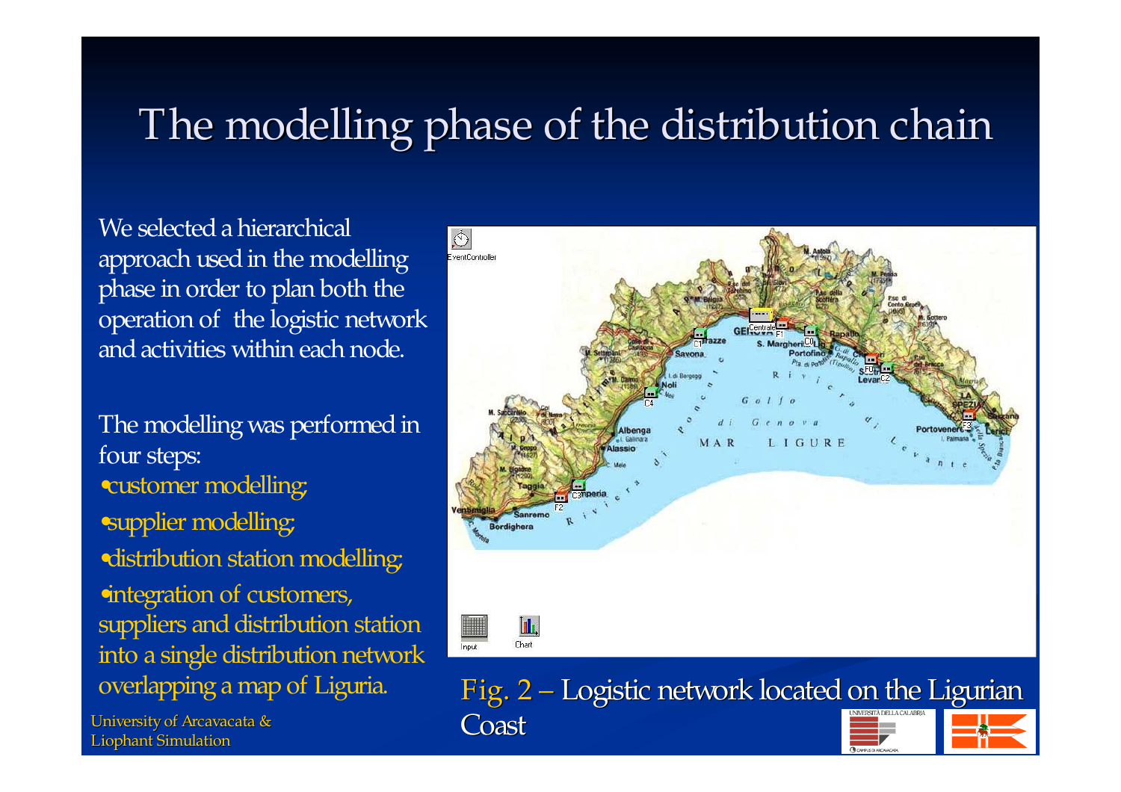#### The modelling phase of the distribution chain

We selected a hierarchical approach used in the modelling phase in order to plan both the operation of the logistic network and activities within each node.

The modelling was performed in four steps: •customer modelling; •supplier modelling; •distribution station modelling; •integration of customers, suppliers and distribution station into <sup>a</sup> single distribution network

University of Arcavacata & **Coast** Liophant Simulation



overlapping a map of Liguria.  $Fig. 2 - Logistic network located on the Ligurian$ 

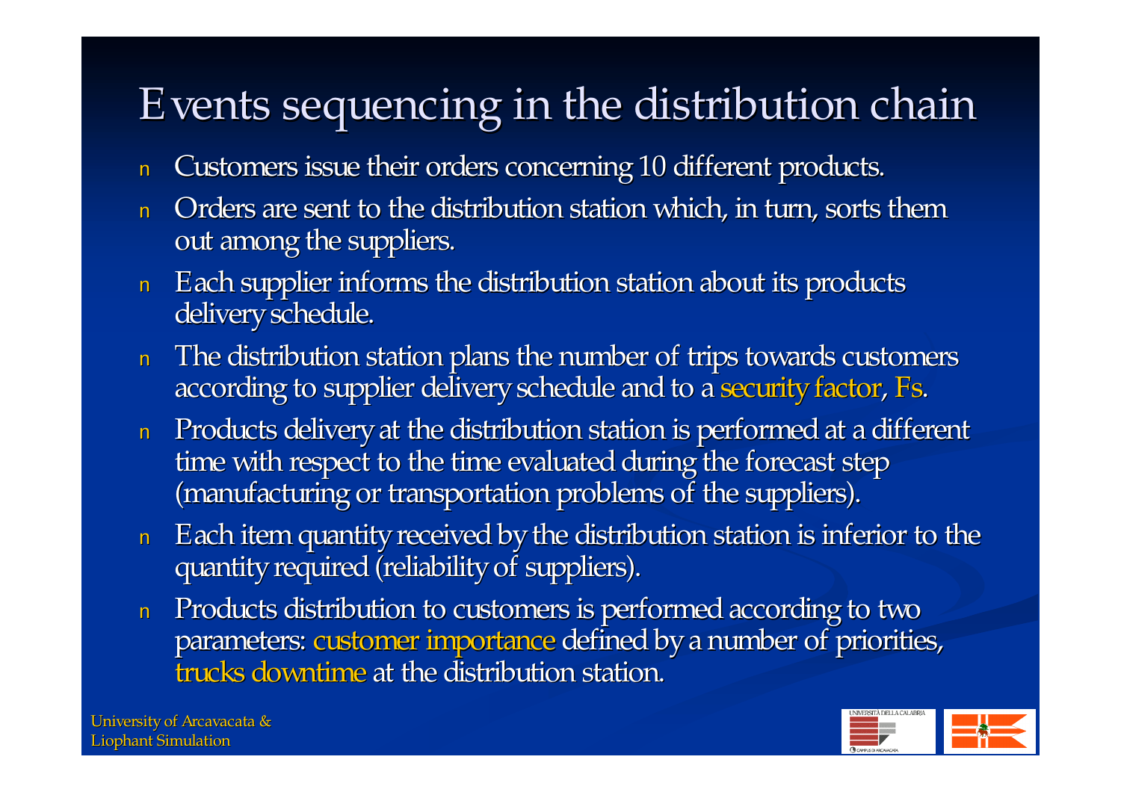### Events sequencing in the distribution chain

- nCustomers issue their orders concerning 10 different products.
- n Orders are sent to the distribution station which, in turn, sorts them out among the suppliers.
- $\,$   $\,$   $\,$   $\,$   $\,$  Each supplier informs the distribution station about its products delivery schedule.
- n The distribution station plans the number of trips towards customers according to supplier delivery schedule and to a security factor, Fs.
- n Products delivery at the distribution station is performed at a different time with respect to the time evaluated during the forecast step (manufacturing or transportation problems of the suppliers).
- $\,$   $\,$   $\,$   $\,$   $\,$  Each item quantity received by the distribution station is inferior to the quantity required (reliability of suppliers).
- n Products distribution to customers is performed according to two parameters: customer importance defined by a number of priorities, trucks downtime at the distribution station.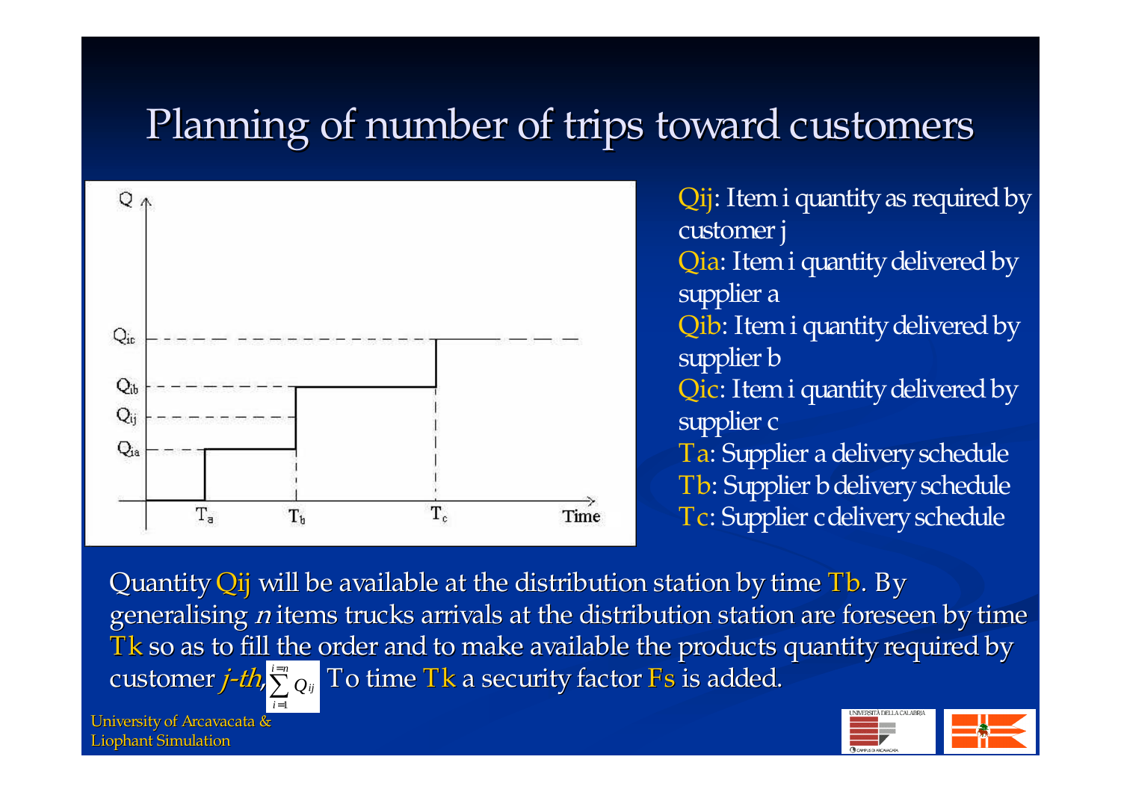#### Planning of number of trips toward customers



Qij: Item i quantity as required by customer j Qia: Item i quantity delivered by supplier <sup>a</sup> Qib: Item i quantity delivered by supplier **b** Qic: Item i quantity delivered by supplier <sup>c</sup> Ta: Supplier a delivery schedule Tb: Supplier b delivery schedule Tc: Supplier cdeliveryschedule

Quantity Qij will be available at the distribution station by time Tb. By generalising <sup>n</sup> items trucks arrivals at the distribution station are foreseen by time Tk so as to fill the order and to make available the products quantity required by customer *j-th,*  $\sum\limits_{}^{t=n}Q_{ij}$  To time Tk a security factor Fs is added.

University of Arcavacata & Liophant Simulation

*i*=1

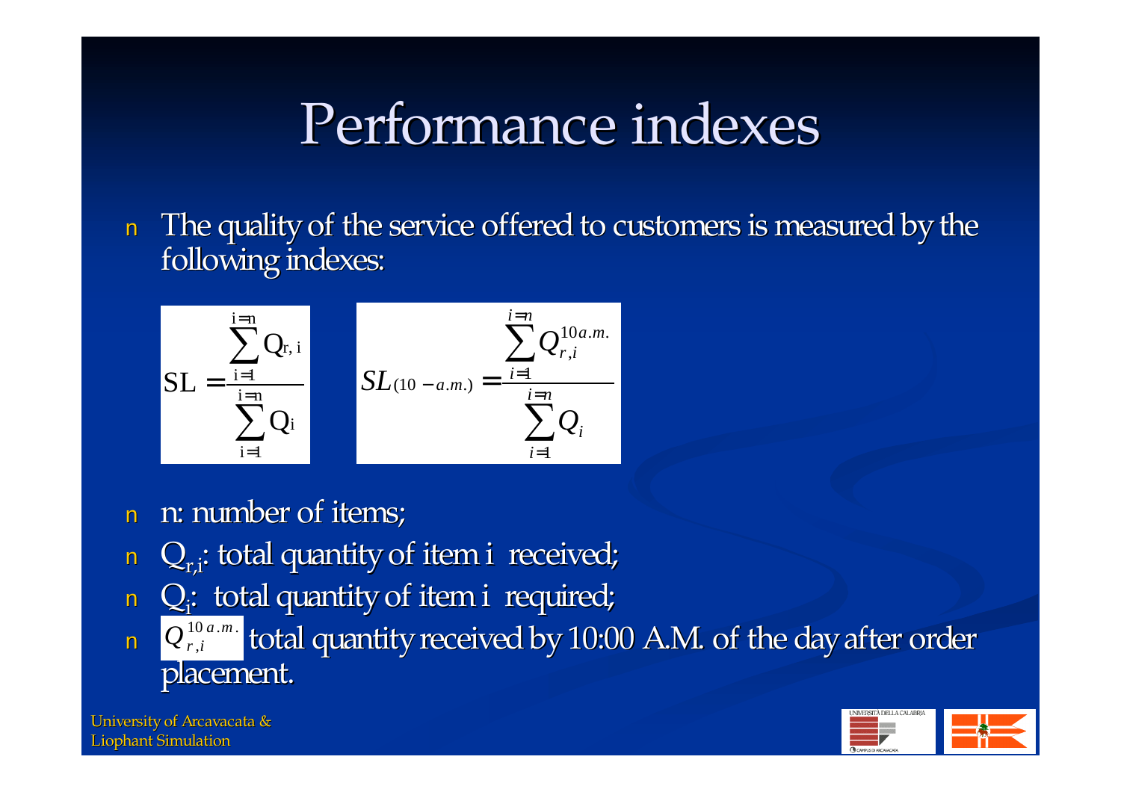## Performance indexes

nThe quality of the service offered to customers is measured by the following indexes:

$$
SL = \frac{\sum_{i=1}^{i=n} Q_{r,i}}{\sum_{i=1}^{i=n} Q_i}
$$
 
$$
SL_{(10-a.m.)} = \frac{\sum_{i=1}^{i=n} Q_{r,i}^{10a.m.}}{\sum_{i=1}^{i=n} Q_i}
$$

- nn: number of items;
- n $Q_{ri}$ : total quantity of item i received;
- n $Q_i$ : total quantity of item i required;
- n $\mathbf{Q}^{\text{10a.m.}}_{r,i}$  total quantity received by 10:00 A.M. of the day after order placement. ,  $Q$   $_{r,i}^{\mathsf{10}\,a.m}$